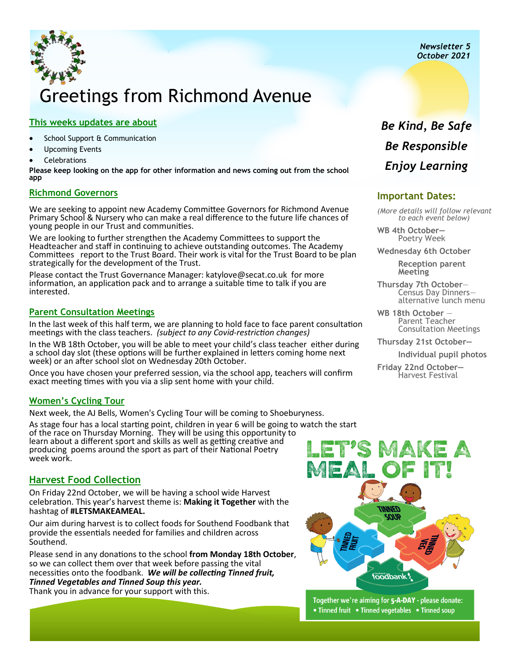*Newsletter 5 October 2021*

# Greetings from Richmond Avenue

### **This weeks updates are about**

- School Support & Communication
- Upcoming Events
- **Celebrations**

**Please keep looking on the app for other information and news coming out from the school app**

### **Richmond Governors**

We are seeking to appoint new Academy Committee Governors for Richmond Avenue Primary School & Nursery who can make a real difference to the future life chances of young people in our Trust and communities.

We are looking to further strengthen the Academy Committees to support the Headteacher and staff in continuing to achieve outstanding outcomes. The Academy Committees report to the Trust Board. Their work is vital for the Trust Board to be plan strategically for the development of the Trust.

Please contact the Trust Governance Manager: katylove@secat.co.uk for more information, an application pack and to arrange a suitable time to talk if you are interested.

### **Parent Consultation Meetings**

In the last week of this half term, we are planning to hold face to face parent consultation meetings with the class teachers. *(subject to any Covid-restriction changes)* 

In the WB 18th October, you will be able to meet your child's class teacher either during a school day slot (these options will be further explained in letters coming home next week) or an after school slot on Wednesday 20th October.

Once you have chosen your preferred session, via the school app, teachers will confirm exact meeting times with you via a slip sent home with your child.

### **Women's Cycling Tour**

week work.

Next week, the AJ Bells, Women's Cycling Tour will be coming to Shoeburyness.

As stage four has a local starting point, children in year 6 will be going to watch the start of the race on Thursday Morning. They will be using this opportunity to learn about a different sport and skills as well as getting creative and producing poems around the sport as part of their National Poetry

### **Harvest Food Collection**

On Friday 22nd October, we will be having a school wide Harvest celebration. This year's harvest theme is: **Making it Together** with the hashtag of **#LETSMAKEAMEAL.** 

Our aim during harvest is to collect foods for Southend Foodbank that provide the essentials needed for families and children across Southend.

Please send in any donations to the school **from Monday 18th October**, so we can collect them over that week before passing the vital necessities onto the foodbank. *We will be collecting Tinned fruit, Tinned Vegetables and Tinned Soup this year.*  Thank you in advance for your support with this.

# **SOUR** foodbank!

Together we're aiming for 5-A-DAY - please donate: • Tinned fruit • Tinned vegetables • Tinned soup

### *Be Kind, Be Safe Be Responsible Enjoy Learning*

### **Important Dates:**

*(More details will follow relevant to each event below)* 

**WB 4th October—**  Poetry Week

**Wednesday 6th October** 

**Reception parent Meeting**

**Thursday 7th October**— Census Day Dinners alternative lunch menu

**WB 18th October** — Parent Teacher Consultation Meetings

**Thursday 21st October—**

**Individual pupil photos** 

**Friday 22nd October—** Harvest Festival